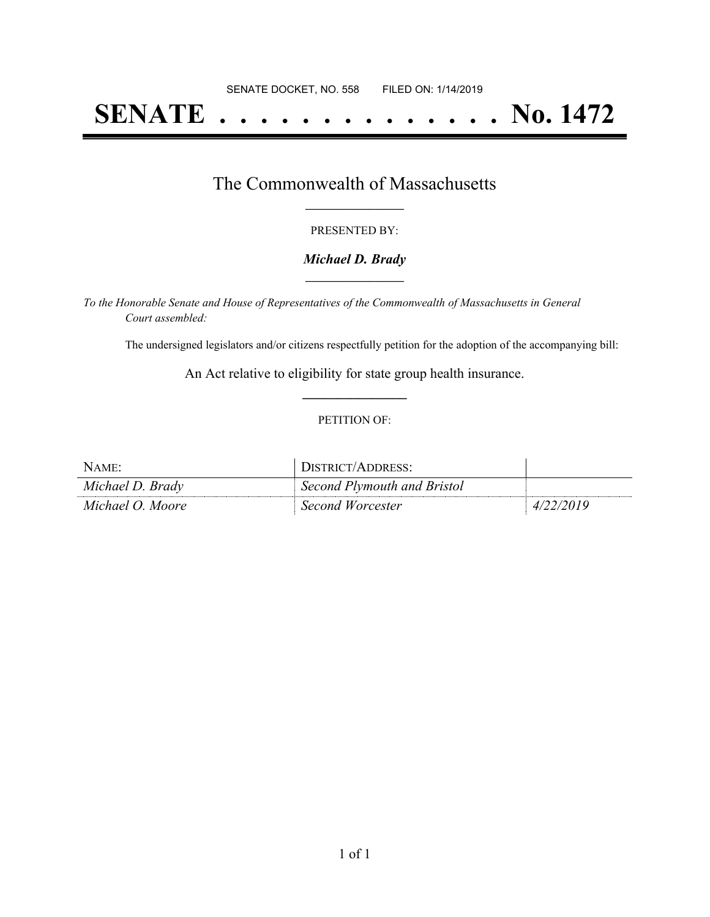# **SENATE . . . . . . . . . . . . . . No. 1472**

## The Commonwealth of Massachusetts **\_\_\_\_\_\_\_\_\_\_\_\_\_\_\_\_\_**

#### PRESENTED BY:

#### *Michael D. Brady* **\_\_\_\_\_\_\_\_\_\_\_\_\_\_\_\_\_**

*To the Honorable Senate and House of Representatives of the Commonwealth of Massachusetts in General Court assembled:*

The undersigned legislators and/or citizens respectfully petition for the adoption of the accompanying bill:

An Act relative to eligibility for state group health insurance. **\_\_\_\_\_\_\_\_\_\_\_\_\_\_\_**

#### PETITION OF:

| NAME             | DISTRICT/ADDRESS:           |           |
|------------------|-----------------------------|-----------|
| Michael D. Brady | Second Plymouth and Bristol |           |
| Michael O. Moore | Second Worcester            | 4/22/2019 |